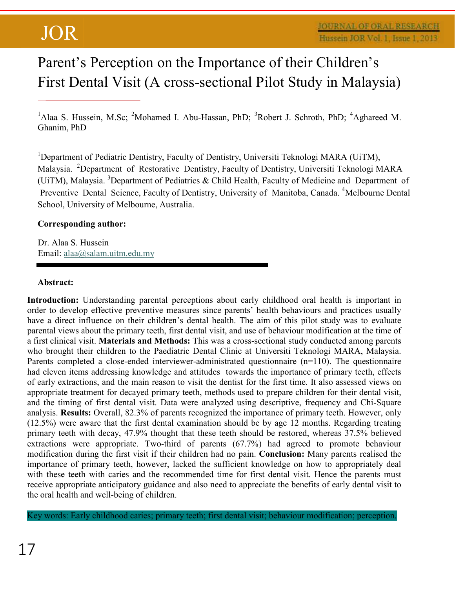# Parent's Perception on the Importance of their Children's First Dental Visit (A cross-sectional Pilot Study in Malaysia)

<sup>1</sup>Alaa S. Hussein, M.Sc; <sup>2</sup>Mohamed I. Abu-Hassan, PhD; <sup>3</sup>Robert J. Schroth, PhD; <sup>4</sup>Aghareed M. Ghanim, PhD

<sup>1</sup>Department of Pediatric Dentistry, Faculty of Dentistry, Universiti Teknologi MARA (UiTM), Malaysia. <sup>2</sup>Department of Restorative Dentistry, Faculty of Dentistry, Universiti Teknologi MARA (UiTM), Malaysia. <sup>3</sup>Department of Pediatrics & Child Health, Faculty of Medicine and Department of Preventive Dental Science, Faculty of Dentistry, University of Manitoba, Canada. <sup>4</sup>Melbourne Dental School, University of Melbourne, Australia.

### **Corresponding author:**

Dr. Alaa S. Hussein Email: alaa@salam.uitm.edu.my

### **Abstract:**

Introduction: Understanding parental perceptions about early childhood oral health is important in order to develop effective preventive measures since parents' health behaviours and practices usually have a direct influence on their children's dental health. The aim of this pilot study was to evaluate parental views about the primary teeth, first dental visit, and use of behaviour modification at the time of a first clinical visit. **Materials and Methods:** This was a cross-sectional study conducted among parents who brought their children to the Paediatric Dental Clinic at Universiti Teknologi MARA, Malaysia. Parents completed a close-ended interviewer-administrated questionnaire (n=110). The questionnaire had eleven items addressing knowledge and attitudes towards the importance of primary teeth, effects of early extractions, and the main reason to visit the dentist for the first time. It also assessed views on appropriate treatment for decayed primary teeth, methods used to prepare children for their dental visit, and the timing of first dental visit. Data were analyzed using descriptive, frequency and Chi-Square analysis. **Results:** Overall, 82.3% of parents recognized the importance of primary teeth. However, only (12.5%) were aware that the first dental examination should be by age 12 months. Regarding treating primary teeth with decay, 47.9% thought that these teeth should be restored, whereas 37.5% believed extractions were appropriate. Two-third of parents (67.7%) had agreed to promote behaviour modification during the first visit if their children had no pain. **Conclusion:** Many parents realised the importance of primary teeth, however, lacked the sufficient knowledge on how to appropriately deal with these teeth with caries and the recommended time for first dental visit. Hence the parents must receive appropriate anticipatory guidance and also need to appreciate the benefits of early dental visit to the oral health and well-being of children.

Key words: Early childhood caries; primary teeth; first dental visit; behaviour modification; perception.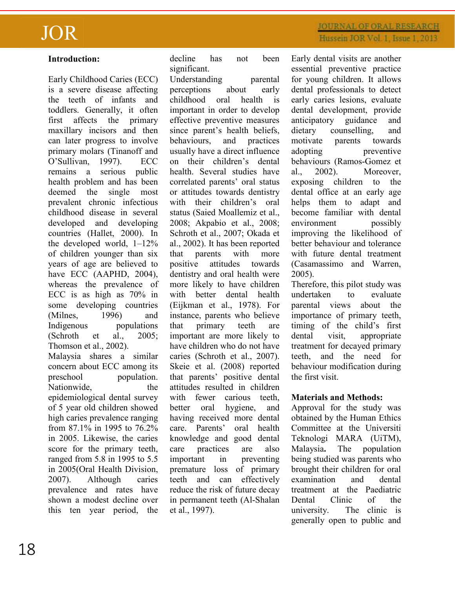### **Introduction:**

Early Childhood Caries (ECC) is a severe disease affecting the teeth of infants and toddlers. Generally, it often first affects the primary maxillary incisors and then can later progress to involve primary molars (Tinanoff and O'Sullivan, 1997). ECC remains a serious public health problem and has been deemed the single most prevalent chronic infectious childhood disease in several developed and developing countries (Hallet, 2000). In the developed world,  $1-12\%$ of children younger than six years of age are believed to have ECC (AAPHD, 2004), whereas the prevalence of ECC is as high as 70% in some developing countries (Milnes, 1996) and Indigenous populations (Schroth et al., 2005; Thomson et al., 2002). Malaysia shares a similar concern about ECC among its preschool population. Nationwide, the

epidemiological dental survey of 5 year old children showed high caries prevalence ranging from 87.1% in 1995 to 76.2% in 2005. Likewise, the caries score for the primary teeth, ranged from 5.8 in 1995 to 5.5 in 2005(Oral Health Division, 2007). Although caries prevalence and rates have shown a modest decline over this ten year period, the decline has not been significant.

Understanding parental perceptions about early childhood oral health is important in order to develop effective preventive measures since parent's health beliefs, behaviours, and practices usually have a direct influence on their children's dental health. Several studies have correlated parents' oral status or attitudes towards dentistry with their children's oral status (Saied Moallemiz et al., 2008; Akpabio et al., 2008; Schroth et al., 2007; Okada et al., 2002). It has been reported that parents with more positive attitudes towards dentistry and oral health were more likely to have children with better dental health (Eijkman et al., 1978). For instance, parents who believe that primary teeth are important are more likely to have children who do not have caries (Schroth et al., 2007). Skeie et al. (2008) reported that parents' positive dental attitudes resulted in children with fewer carious teeth, better oral hygiene, and having received more dental care. Parents' oral health knowledge and good dental care practices are also important in preventing premature loss of primary teeth and can effectively reduce the risk of future decay in permanent teeth (Al-Shalan et al., 1997).

Early dental visits are another essential preventive practice for young children. It allows dental professionals to detect early caries lesions, evaluate dental development, provide anticipatory guidance and dietary counselling, and motivate parents towards adopting preventive behaviours (Ramos-Gomez et al., 2002). Moreover, exposing children to the dental office at an early age helps them to adapt and become familiar with dental environment possibly improving the likelihood of better behaviour and tolerance with future dental treatment (Casamassimo and Warren, 2005).

Therefore, this pilot study was undertaken to evaluate parental views about the importance of primary teeth, timing of the child's first dental visit, appropriate treatment for decayed primary teeth, and the need for behaviour modification during the first visit.

### **Materials and Methods:**

Approval for the study was obtained by the Human Ethics Committee at the Universiti Teknologi MARA (UiTM), Malaysia**.** The population being studied was parents who brought their children for oral examination and dental treatment at the Paediatric Dental Clinic of the university. The clinic is generally open to public and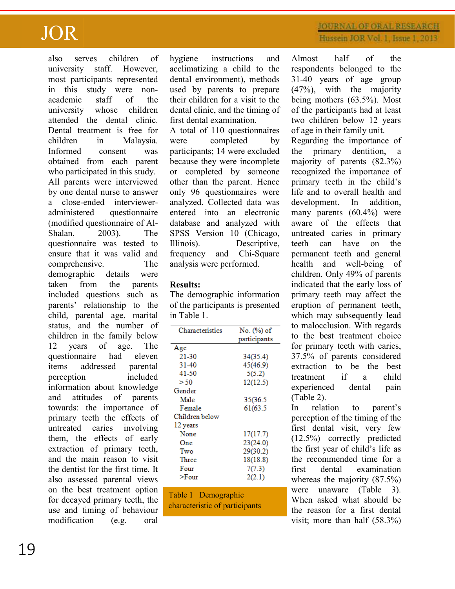also serves children of university staff. However, most participants represented in this study were nonacademic staff of the university whose children attended the dental clinic. Dental treatment is free for children in Malaysia. Informed consent was obtained from each parent who participated in this study. All parents were interviewed by one dental nurse to answer a close-ended intervieweradministered questionnaire (modified questionnaire of Al-Shalan, 2003). The questionnaire was tested to ensure that it was valid and comprehensive. The demographic details were taken from the parents included questions such as parents' relationship to the child, parental age, marital status, and the number of children in the family below 12 years of age. The questionnaire had eleven items addressed parental perception included information about knowledge and attitudes of parents towards: the importance of primary teeth the effects of untreated caries involving them, the effects of early extraction of primary teeth, and the main reason to visit the dentist for the first time. It also assessed parental views on the best treatment option for decayed primary teeth, the use and timing of behaviour

modification (e.g. oral

hygiene instructions and acclimatizing a child to the dental environment), methods used by parents to prepare their children for a visit to the dental clinic, and the timing of first dental examination.

A total of 110 questionnaires were completed by participants; 14 were excluded because they were incomplete or completed by someone other than the parent. Hence only 96 questionnaires were analyzed. Collected data was entered into an electronic database and analyzed with SPSS Version 10 (Chicago, Illinois). Descriptive, frequency and Chi-Square analysis were performed.

### **Results:**

The demographic information of the participants is presented in Table 1.

| Characteristics | No. (%) of   |
|-----------------|--------------|
|                 | participants |
| Age             |              |
| 21-30           | 34(35.4)     |
| 31-40           | 45(46.9)     |
| 41-50           | 5(5.2)       |
| >50             | 12(12.5)     |
| Gender          |              |
| Male            | 35(36.5      |
| Female          | 61(63.5      |
| Children below  |              |
| 12 years        |              |
| None            | 17(17.7)     |
| One             | 23(24.0)     |
| Two             | 29(30.2)     |
| Three           | 18(18.8)     |
| Four            | 7(7.3)       |
| >Four           | 2(2.1)       |

Table 1 Demographic characteristic of participants

## **JOURNAL OF ORAL RESEARCH** Hussein JOR Vol. 1, Issue 1, 2013

Almost half of the respondents belonged to the 31-40 years of age group (47%), with the majority being mothers (63.5%). Most of the participants had at least two children below 12 years of age in their family unit. Regarding the importance of the primary dentition, a majority of parents (82.3%) recognized the importance of primary teeth in the child's life and to overall health and development. In addition, many parents (60.4%) were aware of the effects that untreated caries in primary teeth can have on the permanent teeth and general health and well-being of children. Only 49% of parents indicated that the early loss of primary teeth may affect the eruption of permanent teeth, which may subsequently lead to malocclusion. With regards to the best treatment choice for primary teeth with caries, 37.5% of parents considered extraction to be the best<br>treatment if a child treatment if a child experienced dental pain

(Table 2).

In relation to parent's perception of the timing of the first dental visit, very few (12.5%) correctly predicted the first year of child's life as the recommended time for a first dental examination whereas the majority (87.5%) were unaware (Table 3). When asked what should be the reason for a first dental visit; more than half (58.3%)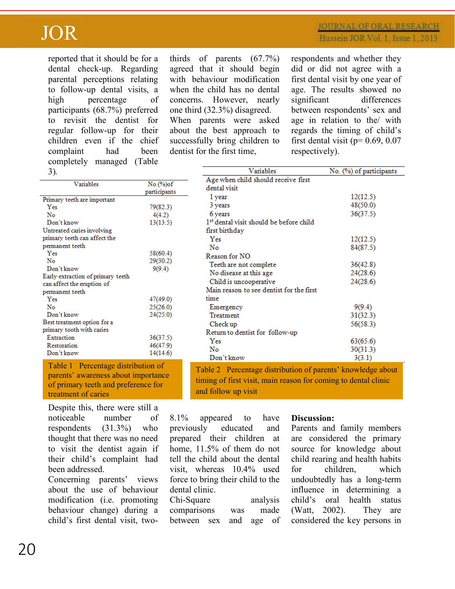reported that it should be for a dental check-up. Regarding parental perceptions relating to follow-up dental visits, a high percentage of participants (68.7%) preferred to revisit the dentist for regular follow-up for their children even if the chief complaint had been completely managed (Table  $2<sub>1</sub>$ 

thirds of parents (67.7%) agreed that it should begin with behaviour modification when the child has no dental concerns. However, nearly one third (32.3%) disagreed. When parents were asked

about the best approach to successfully bring children to dentist for the first time,

respondents and whether they did or did not agree with a first dental visit by one year of age. The results showed no significant differences between respondents' sex and age in relation to the/ with regards the timing of child's first dental visit ( $p= 0.69, 0.07$ respectively).

| Age when child should receive first<br>dental visit<br>1 year<br>3 years<br>6 years<br>1 <sup>st</sup> dental visit should be before child<br>first birthday<br>Yes | 12(12.5)<br>48(50.0)<br>36(37.5)                                                                                                                                                                                                                                                                |
|---------------------------------------------------------------------------------------------------------------------------------------------------------------------|-------------------------------------------------------------------------------------------------------------------------------------------------------------------------------------------------------------------------------------------------------------------------------------------------|
|                                                                                                                                                                     |                                                                                                                                                                                                                                                                                                 |
|                                                                                                                                                                     |                                                                                                                                                                                                                                                                                                 |
|                                                                                                                                                                     |                                                                                                                                                                                                                                                                                                 |
|                                                                                                                                                                     |                                                                                                                                                                                                                                                                                                 |
|                                                                                                                                                                     |                                                                                                                                                                                                                                                                                                 |
|                                                                                                                                                                     |                                                                                                                                                                                                                                                                                                 |
|                                                                                                                                                                     | 12(12.5)                                                                                                                                                                                                                                                                                        |
|                                                                                                                                                                     | 84(87.5)                                                                                                                                                                                                                                                                                        |
| Reason for NO                                                                                                                                                       |                                                                                                                                                                                                                                                                                                 |
|                                                                                                                                                                     | 36(42.8)                                                                                                                                                                                                                                                                                        |
|                                                                                                                                                                     | 24(28.6)                                                                                                                                                                                                                                                                                        |
|                                                                                                                                                                     | 24(28.6)                                                                                                                                                                                                                                                                                        |
|                                                                                                                                                                     |                                                                                                                                                                                                                                                                                                 |
| time                                                                                                                                                                |                                                                                                                                                                                                                                                                                                 |
|                                                                                                                                                                     | 9(9.4)                                                                                                                                                                                                                                                                                          |
|                                                                                                                                                                     | 31(32.3)                                                                                                                                                                                                                                                                                        |
|                                                                                                                                                                     | 56(58.3)                                                                                                                                                                                                                                                                                        |
|                                                                                                                                                                     |                                                                                                                                                                                                                                                                                                 |
|                                                                                                                                                                     | 63(65.6)                                                                                                                                                                                                                                                                                        |
|                                                                                                                                                                     |                                                                                                                                                                                                                                                                                                 |
|                                                                                                                                                                     | 30(31.3)<br>3(3.1)                                                                                                                                                                                                                                                                              |
|                                                                                                                                                                     | No<br>Teeth are not complete<br>No disease at this age<br>Child is uncooperative<br>Main reason to see dentist for the first<br>Emergency<br>Treatment<br>Check up<br>Return to dentist for follow-up<br>Yes<br>No<br>Don't know<br>Table 2 Percentage distribution of parents' knowledge about |

parents' awareness about importance of primary teeth and preference for treatment of caries

Despite this, there were still a noticeable number of respondents (31.3%) who thought that there was no need to visit the dentist again if their child's complaint had been addressed.

Concerning parents' views about the use of behaviour modification (i.e. promoting behaviour change) during a child's first dental visit, two8.1% appeared to have previously educated and prepared their children at home, 11.5% of them do not tell the child about the dental visit, whereas 10.4% used force to bring their child to the dental clinic.

and follow up visit

Chi-Square analysis comparisons was made between sex and age of

#### **Discussion:**

timing of first visit, main reason for coming to dental clinic

Parents and family members are considered the primary source for knowledge about child rearing and health habits for children, which undoubtedly has a long-term influence in determining a child's oral health status (Watt, 2002). They are considered the key persons in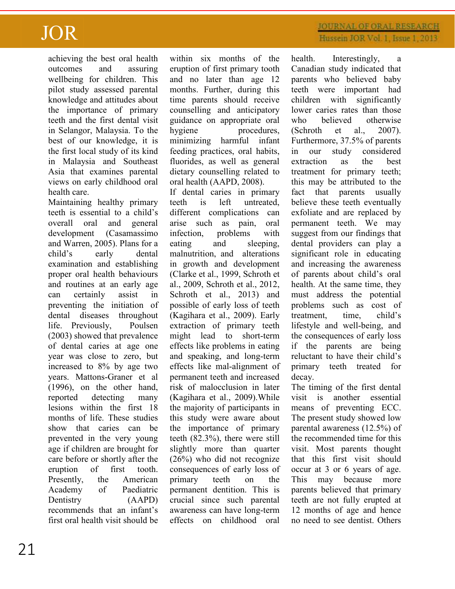achieving the best oral health outcomes and assuring wellbeing for children. This pilot study assessed parental knowledge and attitudes about the importance of primary teeth and the first dental visit in Selangor, Malaysia. To the best of our knowledge, it is the first local study of its kind in Malaysia and Southeast Asia that examines parental views on early childhood oral health care.

Maintaining healthy primary teeth is essential to a child's overall oral and general development (Casamassimo and Warren, 2005). Plans for a child's early dental examination and establishing proper oral health behaviours and routines at an early age can certainly assist in preventing the initiation of dental diseases throughout life. Previously, Poulsen (2003) showed that prevalence of dental caries at age one year was close to zero, but increased to 8% by age two years. Mattons-Graner et al (1996), on the other hand, reported detecting many lesions within the first 18 months of life. These studies show that caries can be prevented in the very young age if children are brought for care before or shortly after the eruption of first tooth. Presently, the American Academy of Paediatric Dentistry (AAPD) recommends that an infant's first oral health visit should be

within six months of the eruption of first primary tooth and no later than age 12 months. Further, during this time parents should receive counselling and anticipatory guidance on appropriate oral hygiene procedures, minimizing harmful infant feeding practices, oral habits, fluorides, as well as general dietary counselling related to oral health (AAPD, 2008). If dental caries in primary

teeth is left untreated, different complications can arise such as pain, oral infection, problems with eating and sleeping, malnutrition, and alterations in growth and development (Clarke et al., 1999, Schroth et al., 2009, Schroth et al., 2012, Schroth et al., 2013) and possible of early loss of teeth (Kagihara et al., 2009). Early extraction of primary teeth might lead to short-term effects like problems in eating and speaking, and long-term effects like mal-alignment of permanent teeth and increased risk of malocclusion in later (Kagihara et al., 2009).While the majority of participants in this study were aware about the importance of primary teeth (82.3%), there were still slightly more than quarter (26%) who did not recognize consequences of early loss of primary teeth on the permanent dentition. This is crucial since such parental awareness can have long-term effects on childhood oral

## **JOURNAL OF ORAL RESEARCH** Hussein JOR Vol. 1, Issue 1, 2013

health. Interestingly, a Canadian study indicated that parents who believed baby teeth were important had children with significantly lower caries rates than those who believed otherwise (Schroth et al., 2007). Furthermore, 37.5% of parents in our study considered extraction as the best treatment for primary teeth; this may be attributed to the fact that parents usually believe these teeth eventually exfoliate and are replaced by permanent teeth. We may suggest from our findings that dental providers can play a significant role in educating and increasing the awareness of parents about child's oral health. At the same time, they must address the potential problems such as cost of treatment, time, child's lifestyle and well-being, and the consequences of early loss if the parents are being reluctant to have their child's primary teeth treated for decay.

The timing of the first dental visit is another essential means of preventing ECC. The present study showed low parental awareness (12.5%) of the recommended time for this visit. Most parents thought that this first visit should occur at 3 or 6 years of age. This may because more parents believed that primary teeth are not fully erupted at 12 months of age and hence no need to see dentist. Others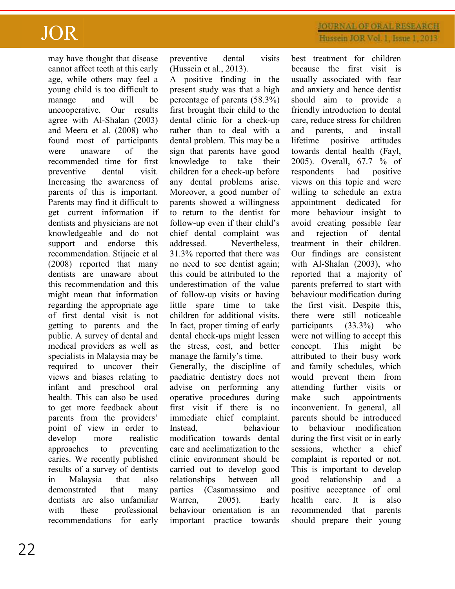may have thought that disease cannot affect teeth at this early age, while others may feel a young child is too difficult to manage and will be uncooperative. Our results agree with Al-Shalan (2003) and Meera et al. (2008) who found most of participants were unaware of the recommended time for first preventive dental visit. Increasing the awareness of parents of this is important. Parents may find it difficult to get current information if dentists and physicians are not knowledgeable and do not support and endorse this recommendation. Stijacic et al (2008) reported that many dentists are unaware about this recommendation and this might mean that information regarding the appropriate age of first dental visit is not getting to parents and the public. A survey of dental and medical providers as well as specialists in Malaysia may be required to uncover their views and biases relating to infant and preschool oral health. This can also be used to get more feedback about parents from the providers' point of view in order to develop more realistic approaches to preventing caries. We recently published results of a survey of dentists in Malaysia that also demonstrated that many dentists are also unfamiliar with these professional recommendations for early

preventive dental visits (Hussein et al., 2013).

A positive finding in the present study was that a high percentage of parents (58.3%) first brought their child to the dental clinic for a check-up rather than to deal with a dental problem. This may be a sign that parents have good knowledge to take their children for a check-up before any dental problems arise. Moreover, a good number of parents showed a willingness to return to the dentist for follow-up even if their child's chief dental complaint was addressed. Nevertheless, 31.3% reported that there was no need to see dentist again; this could be attributed to the underestimation of the value of follow-up visits or having little spare time to take children for additional visits. In fact, proper timing of early dental check-ups might lessen the stress, cost, and better manage the family's time.

Generally, the discipline of paediatric dentistry does not advise on performing any operative procedures during first visit if there is no immediate chief complaint. Instead, behaviour modification towards dental care and acclimatization to the clinic environment should be carried out to develop good relationships between all parties (Casamassimo and Warren, 2005). Early behaviour orientation is an important practice towards

## **JOURNAL OF ORAL RESEARCH** Hussein JOR Vol. 1, Issue 1, 2013

best treatment for children because the first visit is usually associated with fear and anxiety and hence dentist should aim to provide a friendly introduction to dental care, reduce stress for children and parents, and install lifetime positive attitudes towards dental health (Fayl, 2005). Overall, 67.7 % of respondents had positive views on this topic and were willing to schedule an extra appointment dedicated for more behaviour insight to avoid creating possible fear and rejection of dental treatment in their children. Our findings are consistent with Al-Shalan (2003), who reported that a majority of parents preferred to start with behaviour modification during the first visit. Despite this, there were still noticeable participants (33.3%) who were not willing to accept this concept. This might be attributed to their busy work and family schedules, which would prevent them from attending further visits or make such appointments inconvenient. In general, all parents should be introduced to behaviour modification during the first visit or in early sessions, whether a chief complaint is reported or not. This is important to develop good relationship and a positive acceptance of oral health care. It is also recommended that parents should prepare their young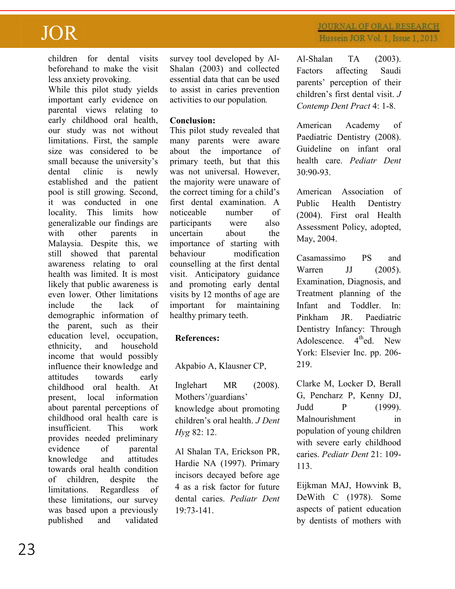children for dental visits beforehand to make the visit less anxiety provoking.

While this pilot study yields important early evidence on parental views relating to early childhood oral health, our study was not without limitations. First, the sample size was considered to be small because the university's dental clinic is newly established and the patient pool is still growing. Second, it was conducted in one locality. This limits how generalizable our findings are with other parents in Malaysia. Despite this, we still showed that parental awareness relating to oral health was limited. It is most likely that public awareness is even lower. Other limitations include the lack of demographic information of the parent, such as their education level, occupation, ethnicity, and household income that would possibly influence their knowledge and attitudes towards early childhood oral health. At present, local information about parental perceptions of childhood oral health care is insufficient. This work provides needed preliminary evidence of parental knowledge and attitudes towards oral health condition of children, despite the limitations. Regardless of these limitations, our survey was based upon a previously published and validated survey tool developed by Al-Shalan (2003) and collected essential data that can be used to assist in caries prevention activities to our population*.* 

### **Conclusion:**

This pilot study revealed that many parents were aware about the importance of primary teeth, but that this was not universal. However, the majority were unaware of the correct timing for a child's first dental examination. A noticeable number of participants were also uncertain about the importance of starting with behaviour modification counselling at the first dental visit. Anticipatory guidance and promoting early dental visits by 12 months of age are important for maintaining healthy primary teeth.

### **References:**

Akpabio A, Klausner CP,

Inglehart MR (2008). Mothers'/guardians' knowledge about promoting children's oral health. *J Dent Hyg* 82: 12.

Al Shalan TA, Erickson PR, Hardie NA (1997). Primary incisors decayed before age 4 as a risk factor for future dental caries. *Pediatr Dent*  $19.73 - 141$ 

Al-Shalan TA (2003). Factors affecting Saudi parents' perception of their children's first dental visit. *J Contemp Dent Pract* 4: 1-8.

American Academy of Paediatric Dentistry (2008). Guideline on infant oral health care. *Pediatr Dent* 30:90-93.

American Association of Public Health Dentistry (2004). First oral Health Assessment Policy, adopted, May, 2004.

Casamassimo PS and Warren JJ (2005). Examination, Diagnosis, and Treatment planning of the Infant and Toddler. In: Pinkham JR. Paediatric Dentistry Infancy: Through Adolescence.  $4<sup>th</sup>$ ed. New York: Elsevier Inc. pp. 206- 219.

Clarke M, Locker D, Berall G, Pencharz P, Kenny DJ, Judd P (1999). Malnourishment in population of young children with severe early childhood caries. *Pediatr Dent* 21: 109- 113.

Eijkman MAJ, Howvink B, DeWith C (1978). Some aspects of patient education by dentists of mothers with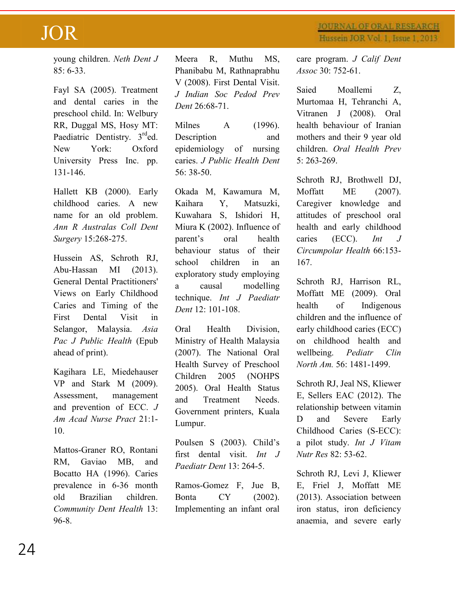**JOURNAL OF ORAL RESEARCH** Hussein JOR Vol. 1, Issue 1, 2013

young children. *Neth Dent J* 85: 6-33.

Fayl SA (2005). Treatment and dental caries in the preschool child. In: Welbury RR, Duggal MS, Hosy MT: Paediatric Dentistry. 3<sup>rd</sup>ed. New York: Oxford University Press Inc. pp. 131-146.

Hallett KB (2000). Early childhood caries. A new name for an old problem. *Ann R Australas Coll Dent Surgery* 15:268-275.

Hussein AS, Schroth RJ, Abu-Hassan MI (2013). General Dental Practitioners' Views on Early Childhood Caries and Timing of the First Dental Visit in Selangor, Malaysia. *Asia Pac J Public Health* (Epub ahead of print).

Kagihara LE, Miedehauser VP and Stark M (2009). Assessment, management and prevention of ECC. *J Am Acad Nurse Pract* 21:1- 10.

Mattos-Graner RO, Rontani RM, Gaviao MB, and Bocatto HA (1996). Caries prevalence in 6-36 month old Brazilian children. *Community Dent Health* 13: 96-8.

Meera R, Muthu MS, Phanibabu M, Rathnaprabhu V (2008). First Dental Visit. *J Indian Soc Pedod Prev Dent* 26:68-71.

Milnes A (1996). Description and epidemiology of nursing caries. *J Public Health Dent*  56: 38-50.

Okada M, Kawamura M, Kaihara Y, Matsuzki, Kuwahara S, Ishidori H, Miura K (2002). Influence of parent's oral health behaviour status of their school children in an exploratory study employing a causal modelling technique. *Int J Paediatr Dent* 12: 101-108.

Oral Health Division, Ministry of Health Malaysia (2007). The National Oral Health Survey of Preschool Children 2005 (NOHPS 2005). Oral Health Status and Treatment Needs. Government printers, Kuala Lumpur.

Poulsen S (2003). Child's first dental visit. *Int J Paediatr Dent* 13: 264-5.

Ramos-Gomez F, Jue B, Bonta CY (2002). Implementing an infant oral care program. *J Calif Dent Assoc* 30: 752-61.

Saied Moallemi Z, Murtomaa H, Tehranchi A, Vitranen J (2008). Oral health behaviour of Iranian mothers and their 9 year old children. *Oral Health Prev* 5: 263-269.

Schroth RJ, Brothwell DJ, Moffatt ME (2007). Caregiver knowledge and attitudes of preschool oral health and early childhood caries (ECC). *Int J Circumpolar Health* 66:153- 167.

Schroth RJ, Harrison RL, Moffatt ME (2009). Oral health of Indigenous children and the influence of early childhood caries (ECC) on childhood health and wellbeing. *Pediatr Clin North Am.* 56: 1481-1499.

Schroth RJ, Jeal NS, Kliewer E, Sellers EAC (2012). The relationship between vitamin D and Severe Early Childhood Caries (S-ECC): a pilot study. *Int J Vitam Nutr Res* 82: 53-62.

Schroth RJ, Levi J, Kliewer E, Friel J, Moffatt ME (2013). Association between iron status, iron deficiency anaemia, and severe early